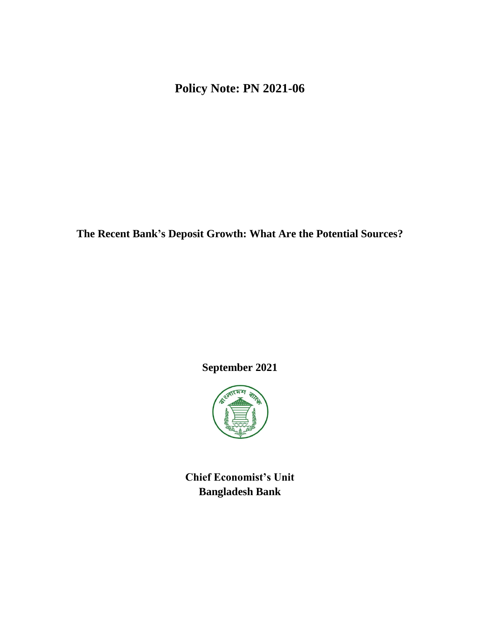**Policy Note: PN 2021-06**

**The Recent Bank's Deposit Growth: What Are the Potential Sources?**

**September 2021**



**Chief Economist's Unit Bangladesh Bank**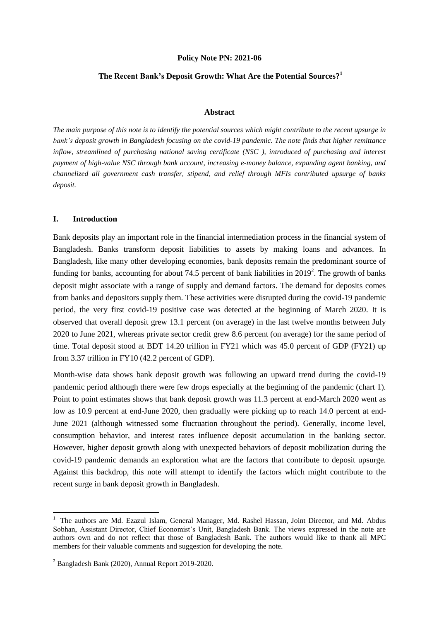### **Policy Note PN: 2021-06**

# **The Recent Bank's Deposit Growth: What Are the Potential Sources?<sup>1</sup>**

### **Abstract**

*The main purpose of this note is to identify the potential sources which might contribute to the recent upsurge in bank's deposit growth in Bangladesh focusing on the covid-19 pandemic. The note finds that higher remittance inflow, streamlined of purchasing national saving certificate (NSC ), introduced of purchasing and interest payment of high-value NSC through bank account, increasing e-money balance, expanding agent banking, and channelized all government cash transfer, stipend, and relief through MFIs contributed upsurge of banks deposit.* 

## **I. Introduction**

Bank deposits play an important role in the financial intermediation process in the financial system of Bangladesh. Banks transform deposit liabilities to assets by making loans and advances. In Bangladesh, like many other developing economies, bank deposits remain the predominant source of funding for banks, accounting for about 74.5 percent of bank liabilities in  $2019<sup>2</sup>$ . The growth of banks deposit might associate with a range of supply and demand factors. The demand for deposits comes from banks and depositors supply them. These activities were disrupted during the covid-19 pandemic period, the very first covid-19 positive case was detected at the beginning of March 2020. It is observed that overall deposit grew 13.1 percent (on average) in the last twelve months between July 2020 to June 2021, whereas private sector credit grew 8.6 percent (on average) for the same period of time. Total deposit stood at BDT 14.20 trillion in FY21 which was 45.0 percent of GDP (FY21) up from 3.37 trillion in FY10 (42.2 percent of GDP).

Month-wise data shows bank deposit growth was following an upward trend during the covid-19 pandemic period although there were few drops especially at the beginning of the pandemic (chart 1). Point to point estimates shows that bank deposit growth was 11.3 percent at end-March 2020 went as low as 10.9 percent at end-June 2020, then gradually were picking up to reach 14.0 percent at end-June 2021 (although witnessed some fluctuation throughout the period). Generally, income level, consumption behavior, and interest rates influence deposit accumulation in the banking sector. However, higher deposit growth along with unexpected behaviors of deposit mobilization during the covid-19 pandemic demands an exploration what are the factors that contribute to deposit upsurge. Against this backdrop, this note will attempt to identify the factors which might contribute to the recent surge in bank deposit growth in Bangladesh.

<sup>&</sup>lt;sup>1</sup> The authors are Md. Ezazul Islam, General Manager, Md. Rashel Hassan, Joint Director, and Md. Abdus Sobhan, Assistant Director, Chief Economist's Unit, Bangladesh Bank. The views expressed in the note are authors own and do not reflect that those of Bangladesh Bank. The authors would like to thank all MPC members for their valuable comments and suggestion for developing the note.

<sup>&</sup>lt;sup>2</sup> Bangladesh Bank (2020), Annual Report 2019-2020.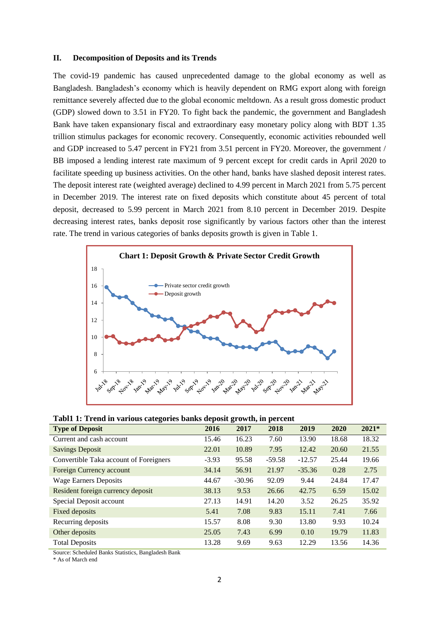### **II. Decomposition of Deposits and its Trends**

The covid-19 pandemic has caused unprecedented damage to the global economy as well as Bangladesh. Bangladesh's economy which is heavily dependent on RMG export along with foreign remittance severely affected due to the global economic meltdown. As a result gross domestic product (GDP) slowed down to 3.51 in FY20. To fight back the pandemic, the government and Bangladesh Bank have taken expansionary fiscal and extraordinary easy monetary policy along with BDT 1.35 trillion stimulus packages for economic recovery. Consequently, economic activities rebounded well and GDP increased to 5.47 percent in FY21 from 3.51 percent in FY20. Moreover, the government / BB imposed a lending interest rate maximum of 9 percent except for credit cards in April 2020 to facilitate speeding up business activities. On the other hand, banks have slashed deposit interest rates. The deposit interest rate (weighted average) declined to 4.99 percent in March 2021 from 5.75 percent in December 2019. The interest rate on fixed deposits which constitute about 45 percent of total deposit, decreased to 5.99 percent in March 2021 from 8.10 percent in December 2019. Despite decreasing interest rates, banks deposit rose significantly by various factors other than the interest rate. The trend in various categories of banks deposits growth is given in Table 1.



| Tabl1 1: Trend in various categories banks deposit growth, in percent |  |  |  |
|-----------------------------------------------------------------------|--|--|--|
|                                                                       |  |  |  |

| o<br><b>Type of Deposit</b>            | л.<br>2016 | o<br>2017 | 2018     | 2019     | 2020  | $2021*$ |
|----------------------------------------|------------|-----------|----------|----------|-------|---------|
| Current and cash account               | 15.46      | 16.23     | 7.60     | 13.90    | 18.68 | 18.32   |
| <b>Savings Deposit</b>                 | 22.01      | 10.89     | 7.95     | 12.42    | 20.60 | 21.55   |
| Convertible Taka account of Foreigners | $-3.93$    | 95.58     | $-59.58$ | $-12.57$ | 25.44 | 19.66   |
| Foreign Currency account               | 34.14      | 56.91     | 21.97    | $-35.36$ | 0.28  | 2.75    |
| <b>Wage Earners Deposits</b>           | 44.67      | $-30.96$  | 92.09    | 9.44     | 24.84 | 17.47   |
| Resident foreign currency deposit      | 38.13      | 9.53      | 26.66    | 42.75    | 6.59  | 15.02   |
| Special Deposit account                | 27.13      | 14.91     | 14.20    | 3.52     | 26.25 | 35.92   |
| Fixed deposits                         | 5.41       | 7.08      | 9.83     | 15.11    | 7.41  | 7.66    |
| Recurring deposits                     | 15.57      | 8.08      | 9.30     | 13.80    | 9.93  | 10.24   |
| Other deposits                         | 25.05      | 7.43      | 6.99     | 0.10     | 19.79 | 11.83   |
| <b>Total Deposits</b>                  | 13.28      | 9.69      | 9.63     | 12.29    | 13.56 | 14.36   |

Source: Scheduled Banks Statistics, Bangladesh Bank

\* As of March end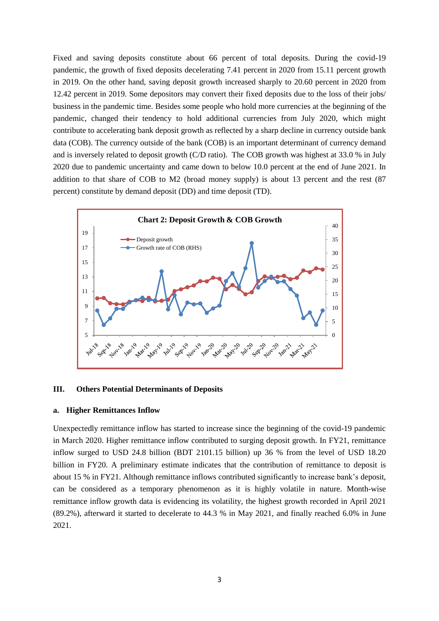Fixed and saving deposits constitute about 66 percent of total deposits. During the covid-19 pandemic, the growth of fixed deposits decelerating 7.41 percent in 2020 from 15.11 percent growth in 2019. On the other hand, saving deposit growth increased sharply to 20.60 percent in 2020 from 12.42 percent in 2019. Some depositors may convert their fixed deposits due to the loss of their jobs/ business in the pandemic time. Besides some people who hold more currencies at the beginning of the pandemic, changed their tendency to hold additional currencies from July 2020, which might contribute to accelerating bank deposit growth as reflected by a sharp decline in currency outside bank data (COB). The currency outside of the bank (COB) is an important determinant of currency demand and is inversely related to deposit growth (C/D ratio). The COB growth was highest at 33.0 % in July 2020 due to pandemic uncertainty and came down to below 10.0 percent at the end of June 2021. In addition to that share of COB to M2 (broad money supply) is about 13 percent and the rest (87 percent) constitute by demand deposit (DD) and time deposit (TD).



#### **III. Others Potential Determinants of Deposits**

## **a. Higher Remittances Inflow**

Unexpectedly remittance inflow has started to increase since the beginning of the covid-19 pandemic in March 2020. Higher remittance inflow contributed to surging deposit growth. In FY21, remittance inflow surged to USD 24.8 billion (BDT 2101.15 billion) up 36 % from the level of USD 18.20 billion in FY20. A preliminary estimate indicates that the contribution of remittance to deposit is about 15 % in FY21. Although remittance inflows contributed significantly to increase bank's deposit, can be considered as a temporary phenomenon as it is highly volatile in nature. Month-wise remittance inflow growth data is evidencing its volatility, the highest growth recorded in April 2021 (89.2%), afterward it started to decelerate to 44.3 % in May 2021, and finally reached 6.0% in June 2021.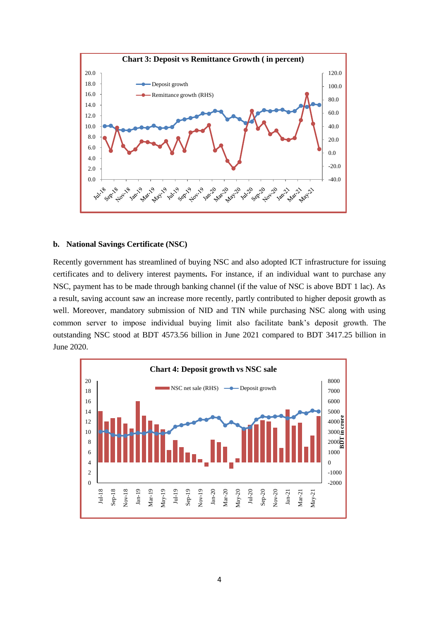

### **b. National Savings Certificate (NSC)**

Recently government has streamlined of buying NSC and also adopted ICT infrastructure for issuing certificates and to delivery interest payments**.** For instance, if an individual want to purchase any NSC, payment has to be made through banking channel (if the value of NSC is above BDT 1 lac). As a result, saving account saw an increase more recently, partly contributed to higher deposit growth as well. Moreover, mandatory submission of NID and TIN while purchasing NSC along with using common server to impose individual buying limit also facilitate bank's deposit growth. The outstanding NSC stood at BDT 4573.56 billion in June 2021 compared to BDT 3417.25 billion in June 2020.

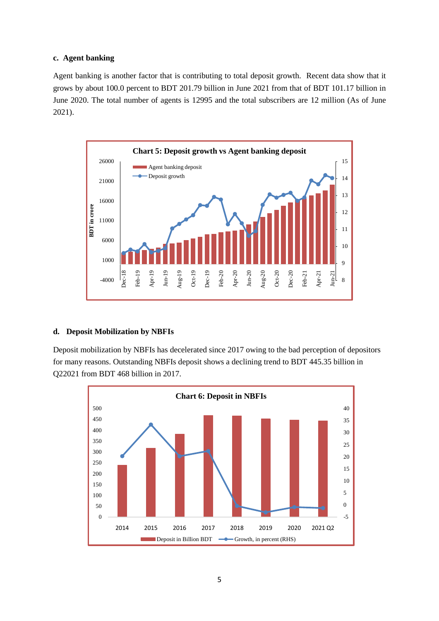# **c. Agent banking**

Agent banking is another factor that is contributing to total deposit growth. Recent data show that it grows by about 100.0 percent to BDT 201.79 billion in June 2021 from that of BDT 101.17 billion in June 2020. The total number of agents is 12995 and the total subscribers are 12 million (As of June 2021).



# **d. Deposit Mobilization by NBFIs**

Deposit mobilization by NBFIs has decelerated since 2017 owing to the bad perception of depositors for many reasons. Outstanding NBFIs deposit shows a declining trend to BDT 445.35 billion in Q22021 from BDT 468 billion in 2017.